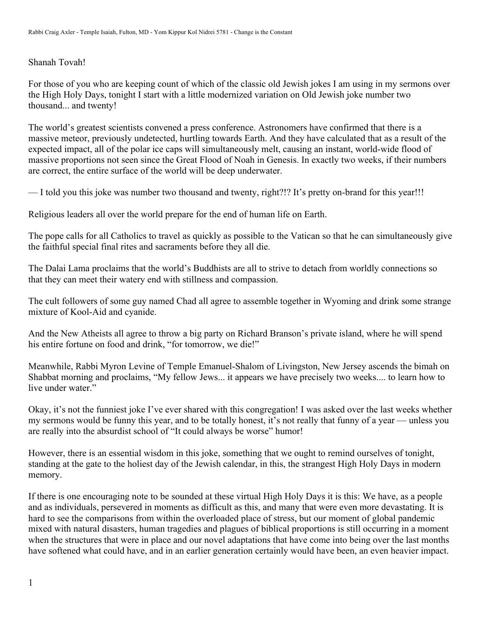## Shanah Tovah!

For those of you who are keeping count of which of the classic old Jewish jokes I am using in my sermons over the High Holy Days, tonight I start with a little modernized variation on Old Jewish joke number two thousand... and twenty!

The world's greatest scientists convened a press conference. Astronomers have confirmed that there is a massive meteor, previously undetected, hurtling towards Earth. And they have calculated that as a result of the expected impact, all of the polar ice caps will simultaneously melt, causing an instant, world-wide flood of massive proportions not seen since the Great Flood of Noah in Genesis. In exactly two weeks, if their numbers are correct, the entire surface of the world will be deep underwater.

— I told you this joke was number two thousand and twenty, right?!? It's pretty on-brand for this year!!!

Religious leaders all over the world prepare for the end of human life on Earth.

The pope calls for all Catholics to travel as quickly as possible to the Vatican so that he can simultaneously give the faithful special final rites and sacraments before they all die.

The Dalai Lama proclaims that the world's Buddhists are all to strive to detach from worldly connections so that they can meet their watery end with stillness and compassion.

The cult followers of some guy named Chad all agree to assemble together in Wyoming and drink some strange mixture of Kool-Aid and cyanide.

And the New Atheists all agree to throw a big party on Richard Branson's private island, where he will spend his entire fortune on food and drink, "for tomorrow, we die!"

Meanwhile, Rabbi Myron Levine of Temple Emanuel-Shalom of Livingston, New Jersey ascends the bimah on Shabbat morning and proclaims, "My fellow Jews... it appears we have precisely two weeks.... to learn how to live under water."

Okay, it's not the funniest joke I've ever shared with this congregation! I was asked over the last weeks whether my sermons would be funny this year, and to be totally honest, it's not really that funny of a year — unless you are really into the absurdist school of "It could always be worse" humor!

However, there is an essential wisdom in this joke, something that we ought to remind ourselves of tonight, standing at the gate to the holiest day of the Jewish calendar, in this, the strangest High Holy Days in modern memory.

If there is one encouraging note to be sounded at these virtual High Holy Days it is this: We have, as a people and as individuals, persevered in moments as difficult as this, and many that were even more devastating. It is hard to see the comparisons from within the overloaded place of stress, but our moment of global pandemic mixed with natural disasters, human tragedies and plagues of biblical proportions is still occurring in a moment when the structures that were in place and our novel adaptations that have come into being over the last months have softened what could have, and in an earlier generation certainly would have been, an even heavier impact.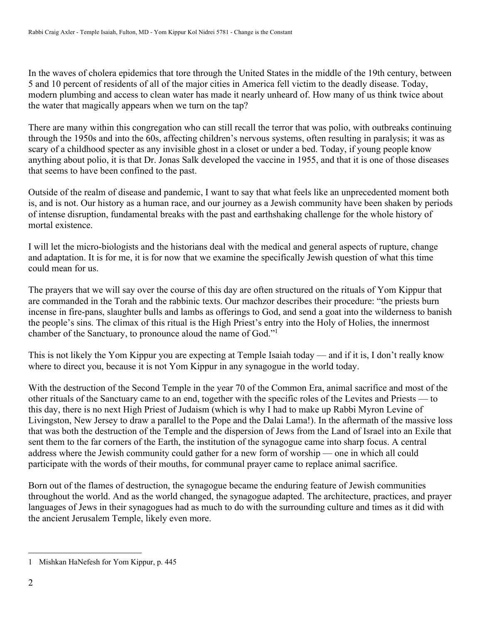In the waves of cholera epidemics that tore through the United States in the middle of the 19th century, between 5 and 10 percent of residents of all of the major cities in America fell victim to the deadly disease. Today, modern plumbing and access to clean water has made it nearly unheard of. How many of us think twice about the water that magically appears when we turn on the tap?

There are many within this congregation who can still recall the terror that was polio, with outbreaks continuing through the 1950s and into the 60s, affecting children's nervous systems, often resulting in paralysis; it was as scary of a childhood specter as any invisible ghost in a closet or under a bed. Today, if young people know anything about polio, it is that Dr. Jonas Salk developed the vaccine in 1955, and that it is one of those diseases that seems to have been confined to the past.

Outside of the realm of disease and pandemic, I want to say that what feels like an unprecedented moment both is, and is not. Our history as a human race, and our journey as a Jewish community have been shaken by periods of intense disruption, fundamental breaks with the past and earthshaking challenge for the whole history of mortal existence.

I will let the micro-biologists and the historians deal with the medical and general aspects of rupture, change and adaptation. It is for me, it is for now that we examine the specifically Jewish question of what this time could mean for us.

The prayers that we will say over the course of this day are often structured on the rituals of Yom Kippur that are commanded in the Torah and the rabbinic texts. Our machzor describes their procedure: "the priests burn incense in fire-pans, slaughter bulls and lambs as offerings to God, and send a goat into the wilderness to banish the people's sins. The climax of this ritual is the High Priest's entry into the Holy of Holies, the innermost chamber of the Sanctuary, to pronounce aloud the name of God."<sup>1</sup>

This is not likely the Yom Kippur you are expecting at Temple Isaiah today — and if it is, I don't really know where to direct you, because it is not Yom Kippur in any synagogue in the world today.

With the destruction of the Second Temple in the year 70 of the Common Era, animal sacrifice and most of the other rituals of the Sanctuary came to an end, together with the specific roles of the Levites and Priests — to this day, there is no next High Priest of Judaism (which is why I had to make up Rabbi Myron Levine of Livingston, New Jersey to draw a parallel to the Pope and the Dalai Lama!). In the aftermath of the massive loss that was both the destruction of the Temple and the dispersion of Jews from the Land of Israel into an Exile that sent them to the far corners of the Earth, the institution of the synagogue came into sharp focus. A central address where the Jewish community could gather for a new form of worship — one in which all could participate with the words of their mouths, for communal prayer came to replace animal sacrifice.

Born out of the flames of destruction, the synagogue became the enduring feature of Jewish communities throughout the world. And as the world changed, the synagogue adapted. The architecture, practices, and prayer languages of Jews in their synagogues had as much to do with the surrounding culture and times as it did with the ancient Jerusalem Temple, likely even more.

<sup>1</sup> Mishkan HaNefesh for Yom Kippur, p. 445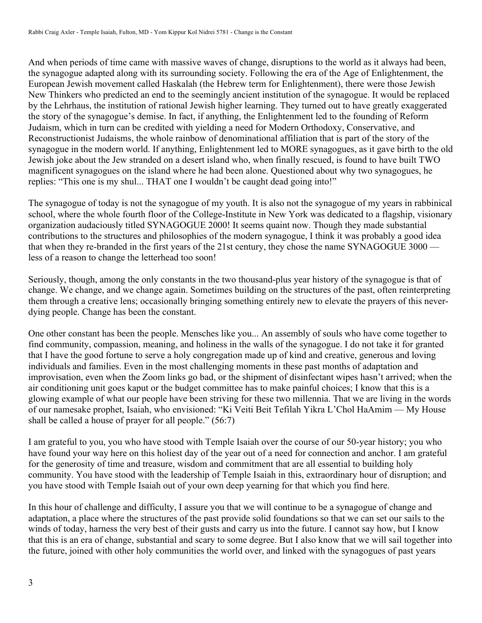And when periods of time came with massive waves of change, disruptions to the world as it always had been, the synagogue adapted along with its surrounding society. Following the era of the Age of Enlightenment, the European Jewish movement called Haskalah (the Hebrew term for Enlightenment), there were those Jewish New Thinkers who predicted an end to the seemingly ancient institution of the synagogue. It would be replaced by the Lehrhaus, the institution of rational Jewish higher learning. They turned out to have greatly exaggerated the story of the synagogue's demise. In fact, if anything, the Enlightenment led to the founding of Reform Judaism, which in turn can be credited with yielding a need for Modern Orthodoxy, Conservative, and Reconstructionist Judaisms, the whole rainbow of denominational affiliation that is part of the story of the synagogue in the modern world. If anything, Enlightenment led to MORE synagogues, as it gave birth to the old Jewish joke about the Jew stranded on a desert island who, when finally rescued, is found to have built TWO magnificent synagogues on the island where he had been alone. Questioned about why two synagogues, he replies: "This one is my shul... THAT one I wouldn't be caught dead going into!"

The synagogue of today is not the synagogue of my youth. It is also not the synagogue of my years in rabbinical school, where the whole fourth floor of the College-Institute in New York was dedicated to a flagship, visionary organization audaciously titled SYNAGOGUE 2000! It seems quaint now. Though they made substantial contributions to the structures and philosophies of the modern synagogue, I think it was probably a good idea that when they re-branded in the first years of the 21st century, they chose the name SYNAGOGUE 3000 less of a reason to change the letterhead too soon!

Seriously, though, among the only constants in the two thousand-plus year history of the synagogue is that of change. We change, and we change again. Sometimes building on the structures of the past, often reinterpreting them through a creative lens; occasionally bringing something entirely new to elevate the prayers of this neverdying people. Change has been the constant.

One other constant has been the people. Mensches like you... An assembly of souls who have come together to find community, compassion, meaning, and holiness in the walls of the synagogue. I do not take it for granted that I have the good fortune to serve a holy congregation made up of kind and creative, generous and loving individuals and families. Even in the most challenging moments in these past months of adaptation and improvisation, even when the Zoom links go bad, or the shipment of disinfectant wipes hasn't arrived; when the air conditioning unit goes kaput or the budget committee has to make painful choices; I know that this is a glowing example of what our people have been striving for these two millennia. That we are living in the words of our namesake prophet, Isaiah, who envisioned: "Ki Veiti Beit Tefilah Yikra L'Chol HaAmim — My House shall be called a house of prayer for all people." (56:7)

I am grateful to you, you who have stood with Temple Isaiah over the course of our 50-year history; you who have found your way here on this holiest day of the year out of a need for connection and anchor. I am grateful for the generosity of time and treasure, wisdom and commitment that are all essential to building holy community. You have stood with the leadership of Temple Isaiah in this, extraordinary hour of disruption; and you have stood with Temple Isaiah out of your own deep yearning for that which you find here.

In this hour of challenge and difficulty, I assure you that we will continue to be a synagogue of change and adaptation, a place where the structures of the past provide solid foundations so that we can set our sails to the winds of today, harness the very best of their gusts and carry us into the future. I cannot say how, but I know that this is an era of change, substantial and scary to some degree. But I also know that we will sail together into the future, joined with other holy communities the world over, and linked with the synagogues of past years